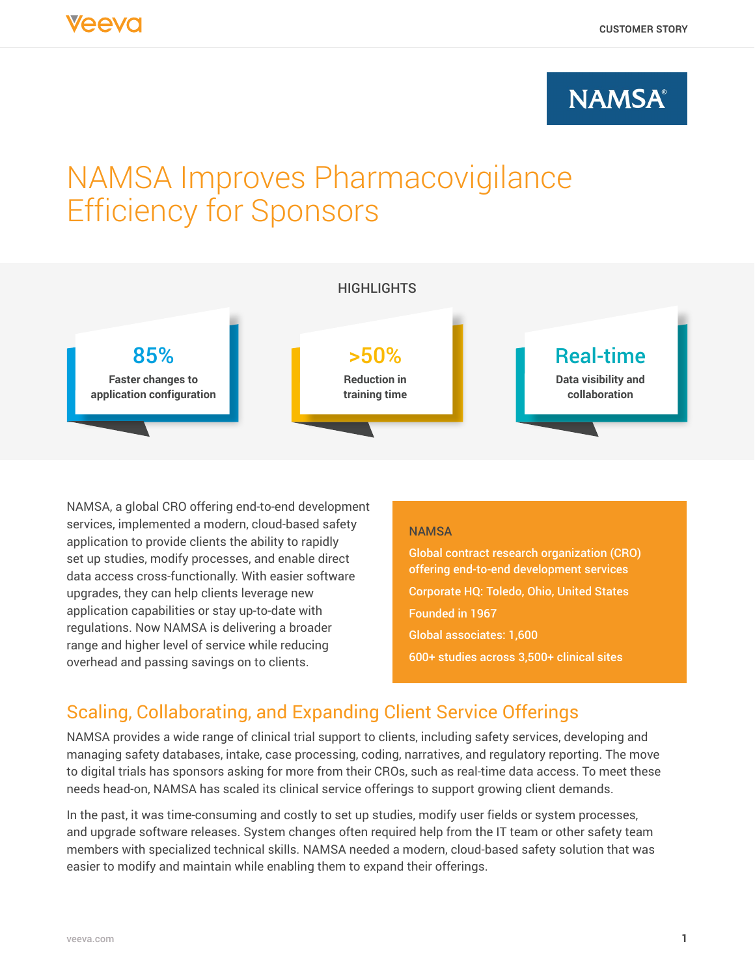## **NAMSA®**

# NAMSA Improves Pharmacovigilance Efficiency for Sponsors



NAMSA, a global CRO offering end-to-end development services, implemented a modern, cloud-based safety application to provide clients the ability to rapidly set up studies, modify processes, and enable direct data access cross-functionally. With easier software upgrades, they can help clients leverage new application capabilities or stay up-to-date with regulations. Now NAMSA is delivering a broader range and higher level of service while reducing overhead and passing savings on to clients.

#### **NAMSA**

Global contract research organization (CRO) offering end-to-end development services Corporate HQ: Toledo, Ohio, United States Founded in 1967 Global associates: 1,600 600+ studies across 3,500+ clinical sites

## Scaling, Collaborating, and Expanding Client Service Offerings

NAMSA provides a wide range of clinical trial support to clients, including safety services, developing and managing safety databases, intake, case processing, coding, narratives, and regulatory reporting. The move to digital trials has sponsors asking for more from their CROs, such as real-time data access. To meet these needs head-on, NAMSA has scaled its clinical service offerings to support growing client demands.

In the past, it was time-consuming and costly to set up studies, modify user fields or system processes, and upgrade software releases. System changes often required help from the IT team or other safety team members with specialized technical skills. NAMSA needed a modern, cloud-based safety solution that was easier to modify and maintain while enabling them to expand their offerings.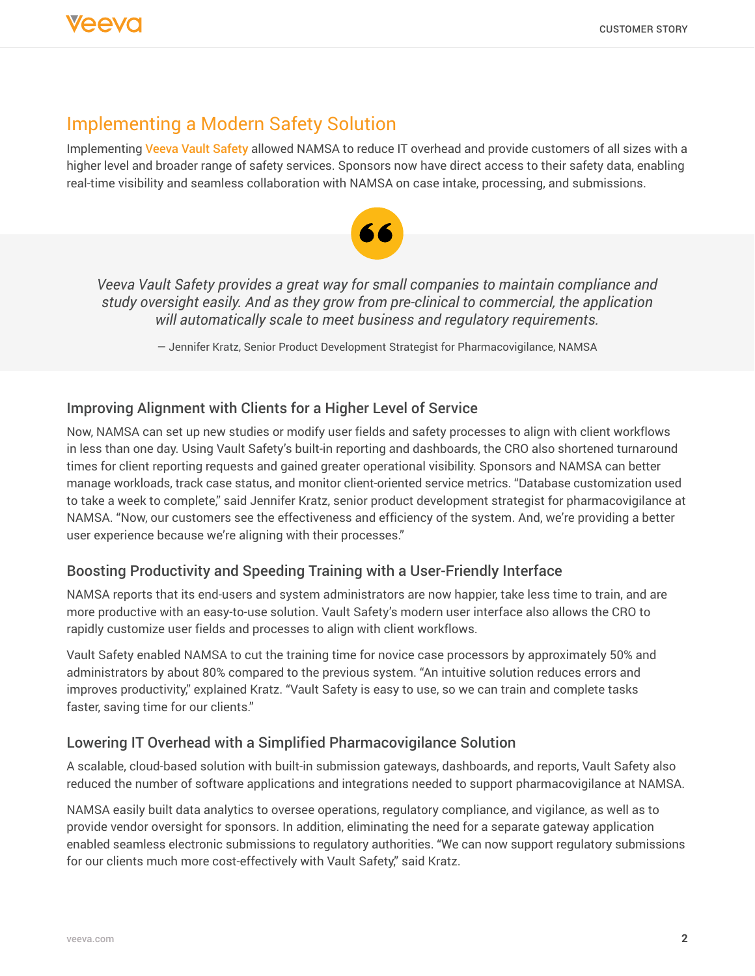## Implementing a Modern Safety Solution

Implementing [Veeva Vault Safety](https://www.veeva.com/products/vault-safety/) allowed NAMSA to reduce IT overhead and provide customers of all sizes with a higher level and broader range of safety services. Sponsors now have direct access to their safety data, enabling real-time visibility and seamless collaboration with NAMSA on case intake, processing, and submissions.



*Veeva Vault Safety provides a great way for small companies to maintain compliance and study oversight easily. And as they grow from pre-clinical to commercial, the application will automatically scale to meet business and regulatory requirements.*

— Jennifer Kratz, Senior Product Development Strategist for Pharmacovigilance, NAMSA

#### Improving Alignment with Clients for a Higher Level of Service

Now, NAMSA can set up new studies or modify user fields and safety processes to align with client workflows in less than one day. Using Vault Safety's built-in reporting and dashboards, the CRO also shortened turnaround times for client reporting requests and gained greater operational visibility. Sponsors and NAMSA can better manage workloads, track case status, and monitor client-oriented service metrics. "Database customization used to take a week to complete," said Jennifer Kratz, senior product development strategist for pharmacovigilance at NAMSA. "Now, our customers see the effectiveness and efficiency of the system. And, we're providing a better user experience because we're aligning with their processes."

#### Boosting Productivity and Speeding Training with a User-Friendly Interface

NAMSA reports that its end-users and system administrators are now happier, take less time to train, and are more productive with an easy-to-use solution. Vault Safety's modern user interface also allows the CRO to rapidly customize user fields and processes to align with client workflows.

Vault Safety enabled NAMSA to cut the training time for novice case processors by approximately 50% and administrators by about 80% compared to the previous system. "An intuitive solution reduces errors and improves productivity," explained Kratz. "Vault Safety is easy to use, so we can train and complete tasks faster, saving time for our clients."

#### Lowering IT Overhead with a Simplified Pharmacovigilance Solution

A scalable, cloud-based solution with built-in submission gateways, dashboards, and reports, Vault Safety also reduced the number of software applications and integrations needed to support pharmacovigilance at NAMSA.

NAMSA easily built data analytics to oversee operations, regulatory compliance, and vigilance, as well as to provide vendor oversight for sponsors. In addition, eliminating the need for a separate gateway application enabled seamless electronic submissions to regulatory authorities. "We can now support regulatory submissions for our clients much more cost-effectively with Vault Safety," said Kratz.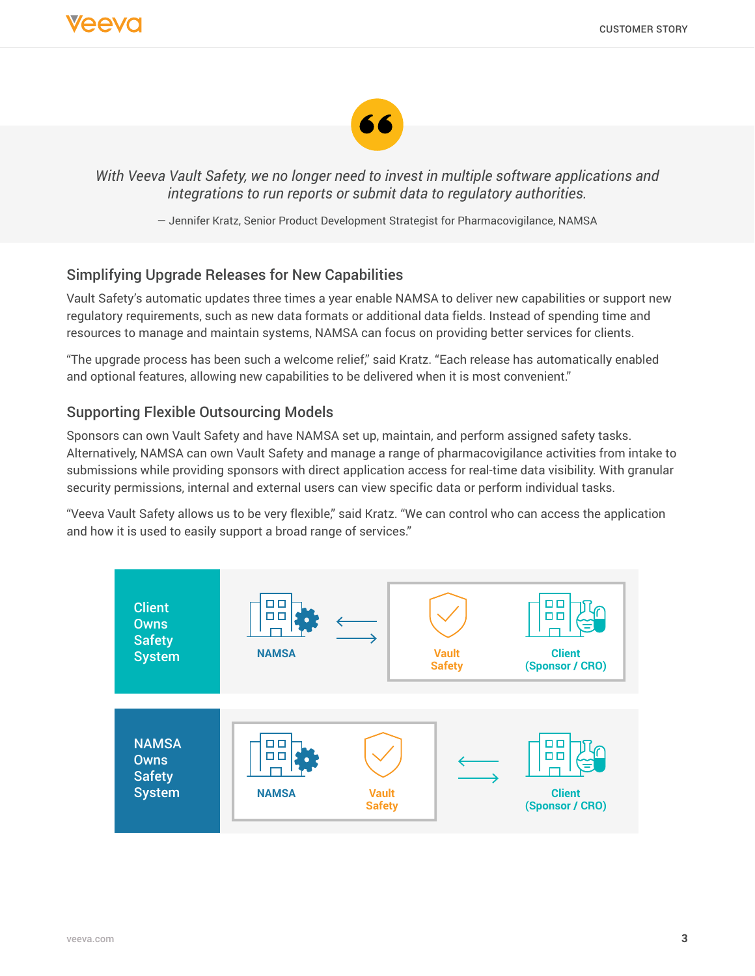

*With Veeva Vault Safety, we no longer need to invest in multiple software applications and integrations to run reports or submit data to regulatory authorities.*

— Jennifer Kratz, Senior Product Development Strategist for Pharmacovigilance, NAMSA

#### Simplifying Upgrade Releases for New Capabilities

Vault Safety's automatic updates three times a year enable NAMSA to deliver new capabilities or support new regulatory requirements, such as new data formats or additional data fields. Instead of spending time and resources to manage and maintain systems, NAMSA can focus on providing better services for clients.

"The upgrade process has been such a welcome relief," said Kratz. "Each release has automatically enabled and optional features, allowing new capabilities to be delivered when it is most convenient."

### Supporting Flexible Outsourcing Models

Sponsors can own Vault Safety and have NAMSA set up, maintain, and perform assigned safety tasks. Alternatively, NAMSA can own Vault Safety and manage a range of pharmacovigilance activities from intake to submissions while providing sponsors with direct application access for real-time data visibility. With granular security permissions, internal and external users can view specific data or perform individual tasks.

"Veeva Vault Safety allows us to be very flexible," said Kratz. "We can control who can access the application and how it is used to easily support a broad range of services."